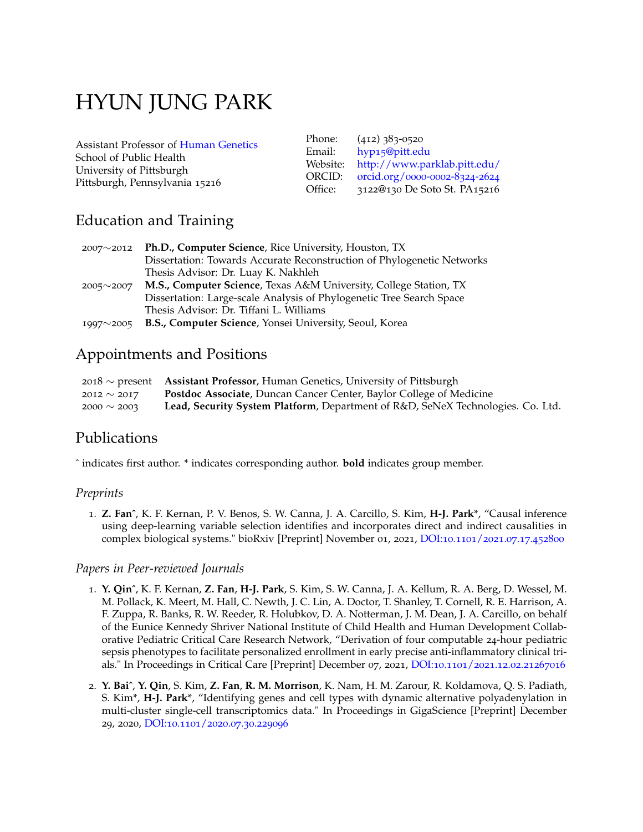# HYUN JUNG PARK

Assistant Professor of [Human Genetics](https://www.publichealth.pitt.edu/hugen) School of Public Health University of Pittsburgh Pittsburgh, Pennsylvania 15216

Phone: (412) 383-0520 Email: hyp15[@pitt.edu](mailto:hj_park@pitt.edu) Website: <http://www.parklab.pitt.edu/> ORCID: [orcid.org/](https://orcid.org/0000-0002-8324-2624)0000-0002-8324-2624 Office: 3122@130 De Soto St. PA15216

## Education and Training

| $2007^{\sim}2012$ | <b>Ph.D., Computer Science, Rice University, Houston, TX</b>           |
|-------------------|------------------------------------------------------------------------|
|                   | Dissertation: Towards Accurate Reconstruction of Phylogenetic Networks |
|                   | Thesis Advisor: Dr. Luay K. Nakhleh                                    |
| $2005^{\sim}2007$ | M.S., Computer Science, Texas A&M University, College Station, TX      |
|                   | Dissertation: Large-scale Analysis of Phylogenetic Tree Search Space   |
|                   | Thesis Advisor: Dr. Tiffani L. Williams                                |
| $1997^{\sim}2005$ | <b>B.S., Computer Science, Yonsei University, Seoul, Korea</b>         |

## Appointments and Positions

|                  | $2018 \sim$ present Assistant Professor, Human Genetics, University of Pittsburgh |
|------------------|-----------------------------------------------------------------------------------|
| $2012 \sim 2017$ | Postdoc Associate, Duncan Cancer Center, Baylor College of Medicine               |
| $2000 \sim 2003$ | Lead, Security System Platform, Department of R&D, SeNeX Technologies. Co. Ltd.   |

## Publications

ˆ indicates first author. \* indicates corresponding author. **bold** indicates group member.

#### *Preprints*

1. **Z. Fanˆ**, K. F. Kernan, P. V. Benos, S. W. Canna, J. A. Carcillo, S. Kim, **H-J. Park**\*, "Causal inference using deep-learning variable selection identifies and incorporates direct and indirect causalities in complex biological systems." bioRxiv [Preprint] November 01, 2021, DOI:10.1101/2021.07.17.[452800](https://doi.org/10.1101/2021.07.17.452800)

#### *Papers in Peer-reviewed Journals*

- 1. **Y. Qinˆ**, K. F. Kernan, **Z. Fan**, **H-J. Park**, S. Kim, S. W. Canna, J. A. Kellum, R. A. Berg, D. Wessel, M. M. Pollack, K. Meert, M. Hall, C. Newth, J. C. Lin, A. Doctor, T. Shanley, T. Cornell, R. E. Harrison, A. F. Zuppa, R. Banks, R. W. Reeder, R. Holubkov, D. A. Notterman, J. M. Dean, J. A. Carcillo, on behalf of the Eunice Kennedy Shriver National Institute of Child Health and Human Development Collaborative Pediatric Critical Care Research Network, "Derivation of four computable 24-hour pediatric sepsis phenotypes to facilitate personalized enrollment in early precise anti-inflammatory clinical trials." In Proceedings in Critical Care [Preprint] December 07, 2021, DOI:10.1101/2021.12.02.[21267016](https://doi.org/10.1101/2021.12.02.21267016)
- 2. **Y. Baiˆ**, **Y. Qin**, S. Kim, **Z. Fan**, **R. M. Morrison**, K. Nam, H. M. Zarour, R. Koldamova, Q. S. Padiath, S. Kim\*, **H-J. Park**\*, "Identifying genes and cell types with dynamic alternative polyadenylation in multi-cluster single-cell transcriptomics data." In Proceedings in GigaScience [Preprint] December 29, 2020, DOI:10.1101/2020.07.30.[229096](https://doi.org/10.1101/2020.07.30.229096)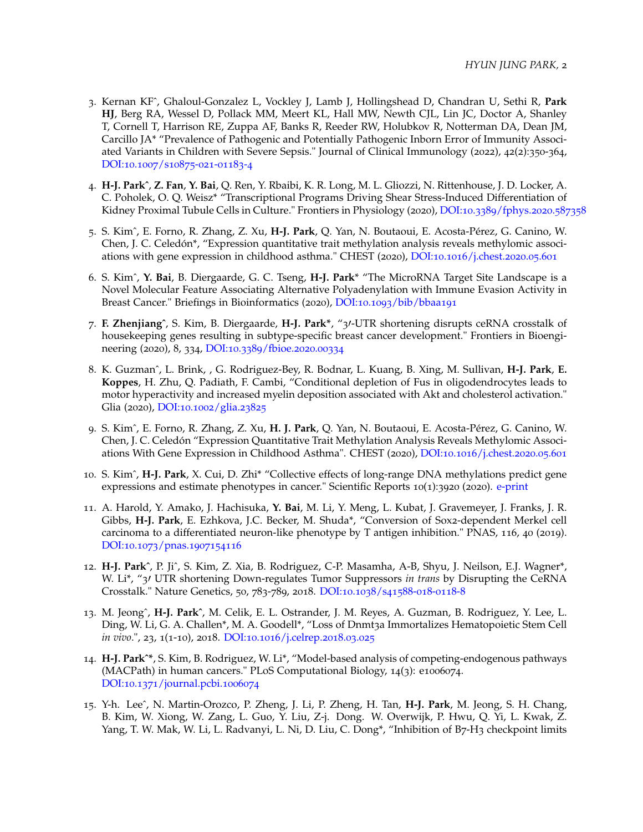- 3. Kernan KFˆ, Ghaloul-Gonzalez L, Vockley J, Lamb J, Hollingshead D, Chandran U, Sethi R, **Park HJ**, Berg RA, Wessel D, Pollack MM, Meert KL, Hall MW, Newth CJL, Lin JC, Doctor A, Shanley T, Cornell T, Harrison RE, Zuppa AF, Banks R, Reeder RW, Holubkov R, Notterman DA, Dean JM, Carcillo JA\* "Prevalence of Pathogenic and Potentially Pathogenic Inborn Error of Immunity Associated Variants in Children with Severe Sepsis." Journal of Clinical Immunology (2022), 42(2):350-364, [DOI:](https://doi.org/10.1007/s10875-021-01183-4)10.1007/s10875-021-01183-4
- 4. **H-J. Parkˆ**, **Z. Fan**, **Y. Bai**, Q. Ren, Y. Rbaibi, K. R. Long, M. L. Gliozzi, N. Rittenhouse, J. D. Locker, A. C. Poholek, O. Q. Weisz\* "Transcriptional Programs Driving Shear Stress-Induced Differentiation of Kidney Proximal Tubule Cells in Culture." Frontiers in Physiology (2020), DOI:10.3389[/fphys.](https://doi: 10.3389/fphys.2020.587358)2020.587358
- 5. S. Kimˆ, E. Forno, R. Zhang, Z. Xu, **H-J. Park**, Q. Yan, N. Boutaoui, E. Acosta-Pérez, G. Canino, W. Chen, J. C. Celedón\*, "Expression quantitative trait methylation analysis reveals methylomic associations with gene expression in childhood asthma." CHEST (2020), DOI:10.1016[/j.chest.](https://doi.org/10.1016/j.chest.2020.05.601)2020.05.601
- 6. S. Kimˆ, **Y. Bai**, B. Diergaarde, G. C. Tseng, **H-J. Park**\* "The MicroRNA Target Site Landscape is a Novel Molecular Feature Associating Alternative Polyadenylation with Immune Evasion Activity in Breast Cancer." Briefings in Bioinformatics (2020), DOI:10.1093[/bib/bbaa](https://doi.org/10.1093/bib/bbaa191)191
- 7. **F. Zhenjiangˆ**, S. Kim, B. Diergaarde, **H-J. Park\***, "3′-UTR shortening disrupts ceRNA crosstalk of housekeeping genes resulting in subtype-specific breast cancer development." Frontiers in Bioengineering (2020), 8, 334, DOI:10.3389[/fbioe.](https://doi.org/10.3389/fbioe.2020.00334)2020.00334
- 8. K. Guzmanˆ, L. Brink, , G. Rodriguez-Bey, R. Bodnar, L. Kuang, B. Xing, M. Sullivan, **H-J. Park**, **E. Koppes**, H. Zhu, Q. Padiath, F. Cambi, "Conditional depletion of Fus in oligodendrocytes leads to motor hyperactivity and increased myelin deposition associated with Akt and cholesterol activation." Glia (2020), DOI:10.1002[/glia.](https://doi.org/10.1002/glia.23825)23825
- 9. S. Kimˆ, E. Forno, R. Zhang, Z. Xu, **H. J. Park**, Q. Yan, N. Boutaoui, E. Acosta-Pérez, G. Canino, W. Chen, J. C. Celedón "Expression Quantitative Trait Methylation Analysis Reveals Methylomic Associations With Gene Expression in Childhood Asthma". CHEST (2020), DOI:10.1016[/j.chest.](https://doi.org/10.1016/j.chest.2020.05.601)2020.05.601
- 10. S. Kimˆ, **H-J. Park**, X. Cui, D. Zhi\* "Collective effects of long-range DNA methylations predict gene expressions and estimate phenotypes in cancer." Scientific Reports 10(1):3920 (2020). [e-print](https://www.nature.com/articles/s41598-020-60845-2)
- 11. A. Harold, Y. Amako, J. Hachisuka, **Y. Bai**, M. Li, Y. Meng, L. Kubat, J. Gravemeyer, J. Franks, J. R. Gibbs, **H-J. Park**, E. Ezhkova, J.C. Becker, M. Shuda\*, "Conversion of Sox2-dependent Merkel cell carcinoma to a differentiated neuron-like phenotype by T antigen inhibition." PNAS, 116, 40 (2019). DOI:10.1073/pnas.[1907154116](https://doi.org/10.1073/pnas.1907154116)
- 12. **H-J. Parkˆ**, P. Jiˆ, S. Kim, Z. Xia, B. Rodriguez, C-P. Masamha, A-B, Shyu, J. Neilson, E.J. Wagner\*, W. Li\*, "3′ UTR shortening Down-regulates Tumor Suppressors *in trans* by Disrupting the CeRNA Crosstalk." Nature Genetics, 50, 783-789, 2018. [DOI:](https://doi.org/10.1038/s41588-018-0118-8)10.1038/s41588-018-0118-8
- 13. M. Jeongˆ, **H-J. Parkˆ**, M. Celik, E. L. Ostrander, J. M. Reyes, A. Guzman, B. Rodriguez, Y. Lee, L. Ding, W. Li, G. A. Challen\*, M. A. Goodell\*, "Loss of Dnmt3a Immortalizes Hematopoietic Stem Cell *in vivo*.", 23, 1(1-10), 2018. DOI:10.1016[/j.celrep.](https://doi.org/10.1016/j.celrep.2018.03.025)2018.03.025
- 14. **H-J. Parkˆ\***, S. Kim, B. Rodriguez, W. Li\*, "Model-based analysis of competing-endogenous pathways (MACPath) in human cancers." PLoS Computational Biology, 14(3): e1006074. DOI:10.1371[/journal.pcbi.](https://doi.org/10.1371/journal.pcbi.1006074)1006074
- 15. Y-h. Leeˆ, N. Martin-Orozco, P. Zheng, J. Li, P. Zheng, H. Tan, **H-J. Park**, M. Jeong, S. H. Chang, B. Kim, W. Xiong, W. Zang, L. Guo, Y. Liu, Z-j. Dong. W. Overwijk, P. Hwu, Q. Yi, L. Kwak, Z. Yang, T. W. Mak, W. Li, L. Radvanyi, L. Ni, D. Liu, C. Dong\*, "Inhibition of B7-H3 checkpoint limits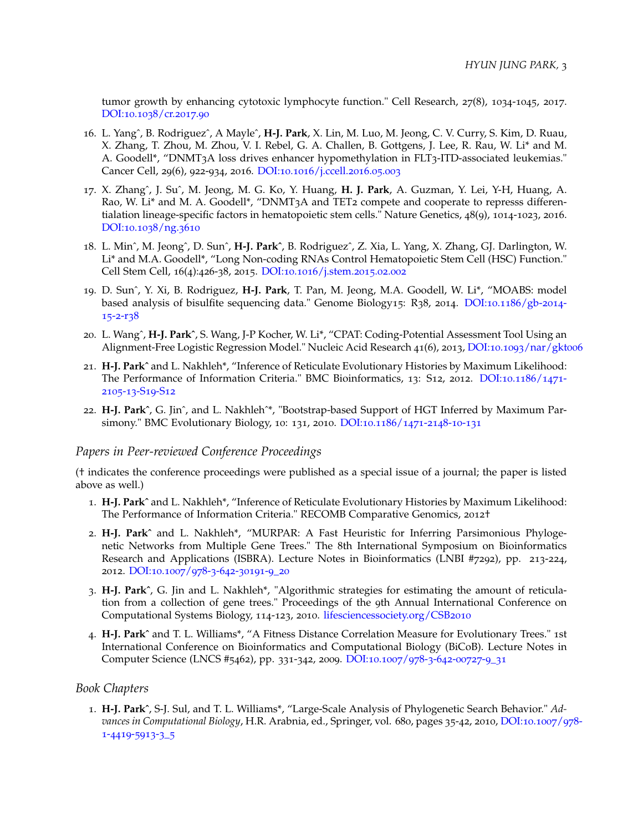tumor growth by enhancing cytotoxic lymphocyte function." Cell Research, 27(8), 1034-1045, 2017. [DOI:](http://dx.doi.org/10.1038/cr.2017.90)10.1038/cr.2017.90

- 16. L. Yangˆ, B. Rodriguezˆ, A Mayleˆ, **H-J. Park**, X. Lin, M. Luo, M. Jeong, C. V. Curry, S. Kim, D. Ruau, X. Zhang, T. Zhou, M. Zhou, V. I. Rebel, G. A. Challen, B. Gottgens, J. Lee, R. Rau, W. Li\* and M. A. Goodell\*, "DNMT3A loss drives enhancer hypomethylation in FLT3-ITD-associated leukemias." Cancer Cell, 29(6), 922-934, 2016. DOI:10.1016[/j.ccell.](http://dx.doi.org/10.1016/j.ccell.2016.05.003)2016.05.003
- 17. X. Zhangˆ, J. Suˆ, M. Jeong, M. G. Ko, Y. Huang, **H. J. Park**, A. Guzman, Y. Lei, Y-H, Huang, A. Rao, W. Li<sup>\*</sup> and M. A. Goodell<sup>\*</sup>, "DNMT<sub>3</sub>A and TET<sub>2</sub> compete and cooperate to represss differentialation lineage-specific factors in hematopoietic stem cells." Nature Genetics, 48(9), 1014-1023, 2016. [DOI:](http://www.nature.com/ng/journal/v48/n9/full/ng.3610.html)10.1038/ng.3610
- 18. L. Minˆ, M. Jeongˆ, D. Sunˆ, **H-J. Parkˆ**, B. Rodriguezˆ, Z. Xia, L. Yang, X. Zhang, GJ. Darlington, W. Li\* and M.A. Goodell\*, "Long Non-coding RNAs Control Hematopoietic Stem Cell (HSC) Function." Cell Stem Cell, 16(4):426-38, 2015. DOI:10.1016[/j.stem.](https://doi.org/10.1016/j.stem.2015.02.002)2015.02.002
- 19. D. Sunˆ, Y. Xi, B. Rodriguez, **H-J. Park**, T. Pan, M. Jeong, M.A. Goodell, W. Li\*, "MOABS: model based analysis of bisulfite sequencing data." Genome Biology15: R38, 2014. [DOI:](http://dx.doi.org/10.1186/gb-2014-15-2-r38)10.1186/gb-2014- [15](http://dx.doi.org/10.1186/gb-2014-15-2-r38)-2-r38
- 20. L. Wangˆ, **H-J. Parkˆ**, S. Wang, J-P Kocher, W. Li\*, "CPAT: Coding-Potential Assessment Tool Using an Alignment-Free Logistic Regression Model." Nucleic Acid Research 41(6), 2013, DOI:10.1093[/nar/gkt](http://dx.doi.org/10.1093/nar/gkt006)006
- 21. **H-J. Parkˆ** and L. Nakhleh\*, "Inference of Reticulate Evolutionary Histories by Maximum Likelihood: The Performance of Information Criteria." BMC Bioinformatics, 13: S12, 2012. [DOI:](https://doi.org/10.1186/1471-2105-13-S19-S12)10.1186/1471- [2105](https://doi.org/10.1186/1471-2105-13-S19-S12)-13-S19-S12
- 22. **H-J. Parkˆ**, G. Jinˆ, and L. Nakhlehˆ\*, "Bootstrap-based Support of HGT Inferred by Maximum Parsimony." BMC Evolutionary Biology, 10: 131, 2010. [DOI:](http://dx.doi.org/10.1186/1471-2148-10-131)10.1186/1471-2148-10-131

#### *Papers in Peer-reviewed Conference Proceedings*

(† indicates the conference proceedings were published as a special issue of a journal; the paper is listed above as well.)

- 1. **H-J. Parkˆ** and L. Nakhleh\*, "Inference of Reticulate Evolutionary Histories by Maximum Likelihood: The Performance of Information Criteria." RECOMB Comparative Genomics, 2012†
- 2. **H-J. Parkˆ** and L. Nakhleh\*, "MURPAR: A Fast Heuristic for Inferring Parsimonious Phylogenetic Networks from Multiple Gene Trees." The 8th International Symposium on Bioinformatics Research and Applications (ISBRA). Lecture Notes in Bioinformatics (LNBI #7292), pp. 213-224, 2012. [DOI:](http://dx.doi.org/10.1007/978-3-642-30191-9_20)10.1007/978-3-642-30191-9\_20
- 3. **H-J. Parkˆ**, G. Jin and L. Nakhleh\*, "Algorithmic strategies for estimating the amount of reticulation from a collection of gene trees." Proceedings of the 9th Annual International Conference on Computational Systems Biology, 114-123, 2010. [lifesciencessociety.org/CSB](http://www.lifesciencessociety.org/CSB2010/toc/PDF/114.2010.pdf)2010
- 4. **H-J. Parkˆ** and T. L. Williams\*, "A Fitness Distance Correlation Measure for Evolutionary Trees." 1st International Conference on Bioinformatics and Computational Biology (BiCoB). Lecture Notes in Computer Science (LNCS #5462), pp. 331-342, 2009. [DOI:](http://dx.doi.org/10.1007/978-3-642-00727-9_31)10.1007/978-3-642-00727-9\_31

#### *Book Chapters*

1. **H-J. Parkˆ**, S-J. Sul, and T. L. Williams\*, "Large-Scale Analysis of Phylogenetic Search Behavior." *Advances in Computational Biology*, H.R. Arabnia, ed., Springer, vol. 680, pages 35-42, 2010, [DOI:](http://dx.doi.org/10.1007/978-1-4419-5913-3_5)10.1007/978- 1-[4419](http://dx.doi.org/10.1007/978-1-4419-5913-3_5)-5913-3\_5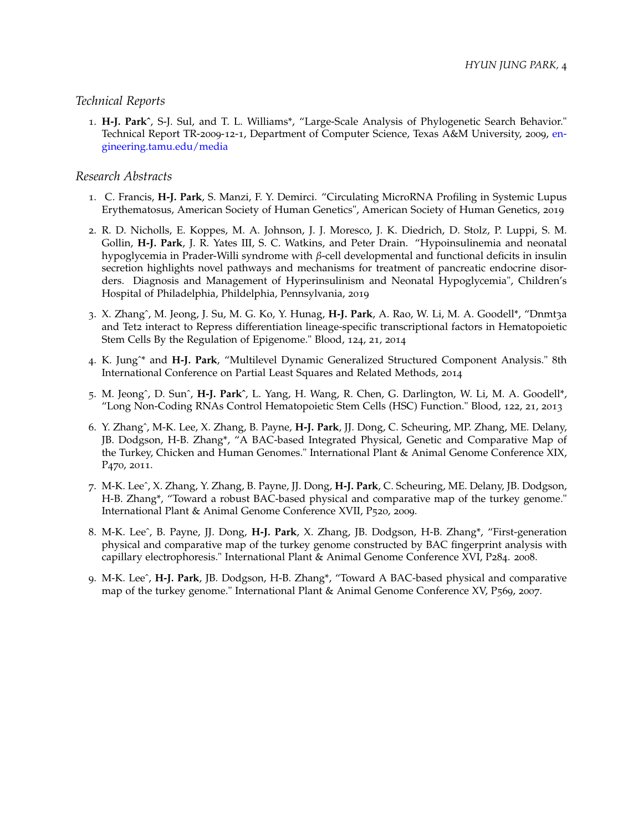#### *Technical Reports*

1. **H-J. Parkˆ**, S-J. Sul, and T. L. Williams\*, "Large-Scale Analysis of Phylogenetic Search Behavior." Technical Report TR-2009-12-1, Department of Computer Science, Texas A&M University, 2009, [en](https://engineering.tamu.edu/media/696748/2009-12-1.pdf)[gineering.tamu.edu/media](https://engineering.tamu.edu/media/696748/2009-12-1.pdf)

#### *Research Abstracts*

- 1. C. Francis, **H-J. Park**, S. Manzi, F. Y. Demirci. "Circulating MicroRNA Profiling in Systemic Lupus Erythematosus, American Society of Human Genetics", American Society of Human Genetics, 2019
- 2. R. D. Nicholls, E. Koppes, M. A. Johnson, J. J. Moresco, J. K. Diedrich, D. Stolz, P. Luppi, S. M. Gollin, **H-J. Park**, J. R. Yates III, S. C. Watkins, and Peter Drain. "Hypoinsulinemia and neonatal hypoglycemia in Prader-Willi syndrome with *β*-cell developmental and functional deficits in insulin secretion highlights novel pathways and mechanisms for treatment of pancreatic endocrine disorders. Diagnosis and Management of Hyperinsulinism and Neonatal Hypoglycemia", Children's Hospital of Philadelphia, Phildelphia, Pennsylvania, 2019
- 3. X. Zhangˆ, M. Jeong, J. Su, M. G. Ko, Y. Hunag, **H-J. Park**, A. Rao, W. Li, M. A. Goodell\*, "Dnmt3a and Tet2 interact to Repress differentiation lineage-specific transcriptional factors in Hematopoietic Stem Cells By the Regulation of Epigenome." Blood, 124, 21, 2014
- 4. K. Jungˆ\* and **H-J. Park**, "Multilevel Dynamic Generalized Structured Component Analysis." 8th International Conference on Partial Least Squares and Related Methods, 2014
- 5. M. Jeongˆ, D. Sunˆ, **H-J. Parkˆ**, L. Yang, H. Wang, R. Chen, G. Darlington, W. Li, M. A. Goodell\*, "Long Non-Coding RNAs Control Hematopoietic Stem Cells (HSC) Function." Blood, 122, 21, 2013
- 6. Y. Zhangˆ, M-K. Lee, X. Zhang, B. Payne, **H-J. Park**, JJ. Dong, C. Scheuring, MP. Zhang, ME. Delany, JB. Dodgson, H-B. Zhang\*, "A BAC-based Integrated Physical, Genetic and Comparative Map of the Turkey, Chicken and Human Genomes." International Plant & Animal Genome Conference XIX, P470, 2011.
- 7. M-K. Leeˆ, X. Zhang, Y. Zhang, B. Payne, JJ. Dong, **H-J. Park**, C. Scheuring, ME. Delany, JB. Dodgson, H-B. Zhang\*, "Toward a robust BAC-based physical and comparative map of the turkey genome." International Plant & Animal Genome Conference XVII, P520, 2009.
- 8. M-K. Leeˆ, B. Payne, JJ. Dong, **H-J. Park**, X. Zhang, JB. Dodgson, H-B. Zhang\*, "First-generation physical and comparative map of the turkey genome constructed by BAC fingerprint analysis with capillary electrophoresis." International Plant & Animal Genome Conference XVI, P284. 2008.
- 9. M-K. Leeˆ, **H-J. Park**, JB. Dodgson, H-B. Zhang\*, "Toward A BAC-based physical and comparative map of the turkey genome." International Plant & Animal Genome Conference XV, P569, 2007.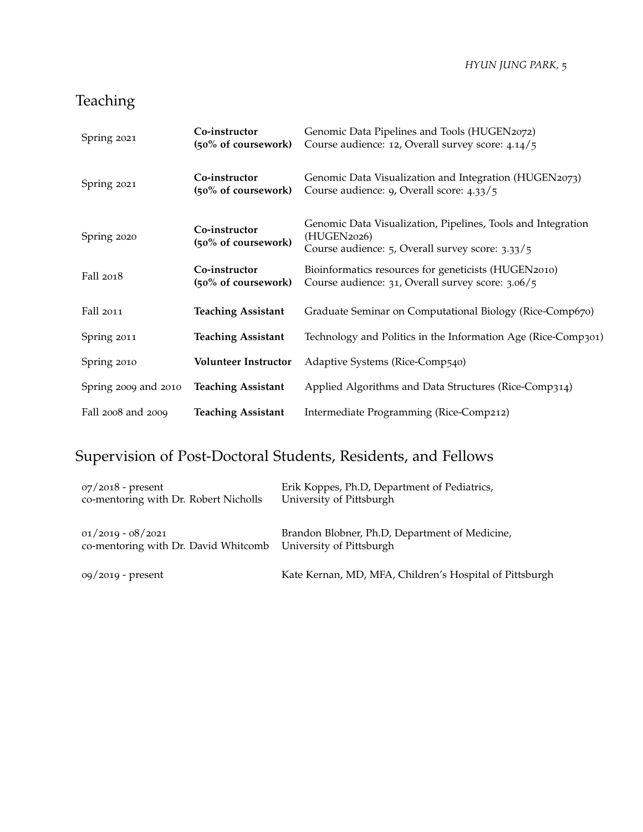*HYUN JUNG PARK,* 5

## Teaching

| Spring 2021          | Co-instructor<br>(50% of coursework) | Genomic Data Pipelines and Tools (HUGEN2072)<br>Course audience: 12, Overall survey score: 4.14/5                               |
|----------------------|--------------------------------------|---------------------------------------------------------------------------------------------------------------------------------|
| Spring 2021          | Co-instructor<br>(50% of coursework) | Genomic Data Visualization and Integration (HUGEN2073)<br>Course audience: 9, Overall score: 4.33/5                             |
| Spring 2020          | Co-instructor<br>(50% of coursework) | Genomic Data Visualization, Pipelines, Tools and Integration<br>(HUGEN2026)<br>Course audience: 5, Overall survey score: 3.33/5 |
| Fall 2018            | Co-instructor<br>(50% of coursework) | Bioinformatics resources for geneticists (HUGEN2010)<br>Course audience: 31, Overall survey score: 3.06/5                       |
| Fall 2011            | <b>Teaching Assistant</b>            | Graduate Seminar on Computational Biology (Rice-Comp670)                                                                        |
| Spring 2011          | <b>Teaching Assistant</b>            | Technology and Politics in the Information Age (Rice-Comp301)                                                                   |
| Spring 2010          | <b>Volunteer Instructor</b>          | Adaptive Systems (Rice-Comp540)                                                                                                 |
| Spring 2009 and 2010 | <b>Teaching Assistant</b>            | Applied Algorithms and Data Structures (Rice-Comp314)                                                                           |
| Fall 2008 and 2009   | <b>Teaching Assistant</b>            | Intermediate Programming (Rice-Comp212)                                                                                         |

## Supervision of Post-Doctoral Students, Residents, and Fellows

| $07/2018$ - present<br>co-mentoring with Dr. Robert Nicholls                         | Erik Koppes, Ph.D, Department of Pediatrics,<br>University of Pittsburgh |
|--------------------------------------------------------------------------------------|--------------------------------------------------------------------------|
| $01/2019 - 08/2021$<br>co-mentoring with Dr. David Whitcomb University of Pittsburgh | Brandon Blobner, Ph.D, Department of Medicine,                           |
| 09/2019 - present                                                                    | Kate Kernan, MD, MFA, Children's Hospital of Pittsburgh                  |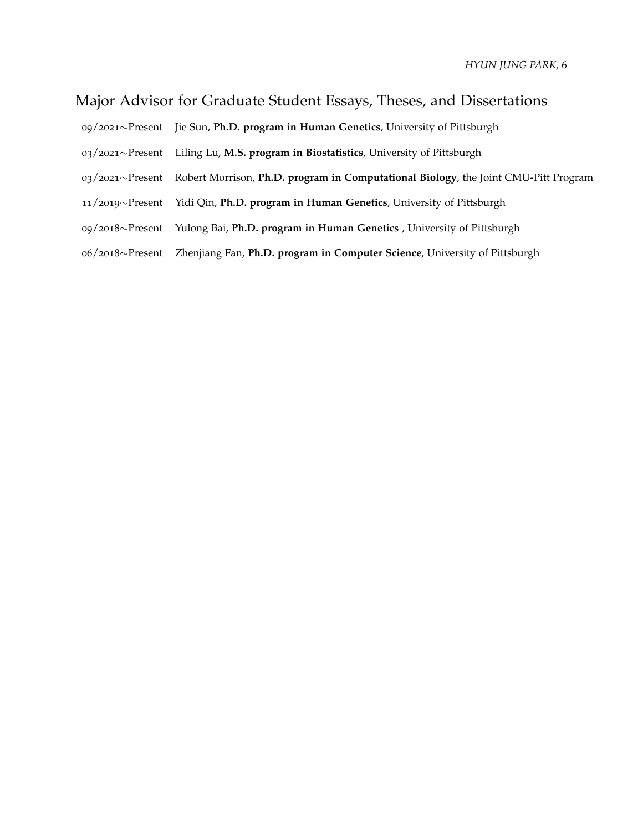## Major Advisor for Graduate Student Essays, Theses, and Dissertations

- /2021∼Present Jie Sun, **Ph.D. program in Human Genetics**, University of Pittsburgh
- /2021∼Present Liling Lu, **M.S. program in Biostatistics**, University of Pittsburgh
- /2021∼Present Robert Morrison, **Ph.D. program in Computational Biology**, the Joint CMU-Pitt Program
- /2019∼Present Yidi Qin, **Ph.D. program in Human Genetics**, University of Pittsburgh
- /2018∼Present Yulong Bai, **Ph.D. program in Human Genetics** , University of Pittsburgh
- /2018∼Present Zhenjiang Fan, **Ph.D. program in Computer Science**, University of Pittsburgh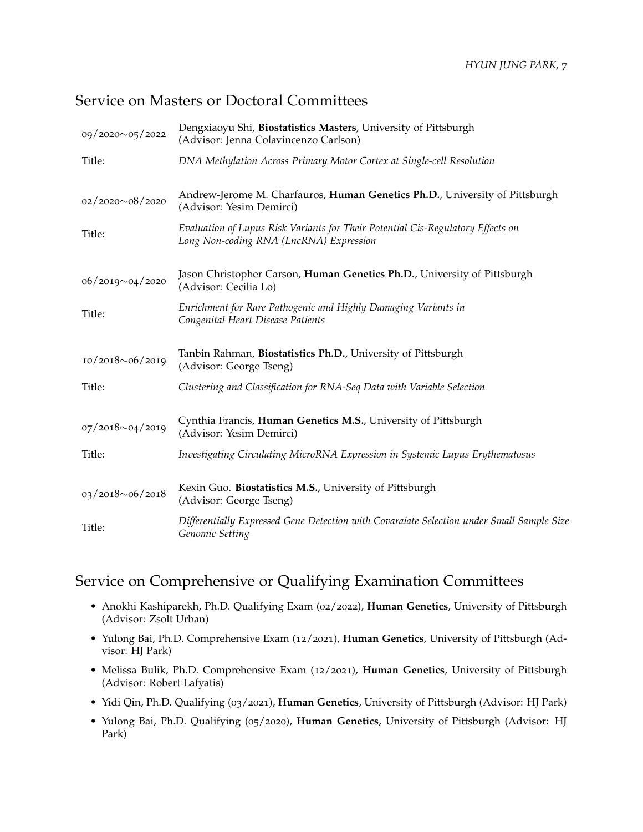## Service on Masters or Doctoral Committees

| 09/2020~05/2022        | Dengxiaoyu Shi, Biostatistics Masters, University of Pittsburgh<br>(Advisor: Jenna Colavincenzo Carlson)                   |
|------------------------|----------------------------------------------------------------------------------------------------------------------------|
| Title:                 | DNA Methylation Across Primary Motor Cortex at Single-cell Resolution                                                      |
| $02/2020 \sim 08/2020$ | Andrew-Jerome M. Charfauros, Human Genetics Ph.D., University of Pittsburgh<br>(Advisor: Yesim Demirci)                    |
| Title:                 | Evaluation of Lupus Risk Variants for Their Potential Cis-Regulatory Effects on<br>Long Non-coding RNA (LncRNA) Expression |
| $06/2019 \sim 04/2020$ | Jason Christopher Carson, Human Genetics Ph.D., University of Pittsburgh<br>(Advisor: Cecilia Lo)                          |
| Title:                 | Enrichment for Rare Pathogenic and Highly Damaging Variants in<br>Congenital Heart Disease Patients                        |
| 10/2018~06/2019        | Tanbin Rahman, Biostatistics Ph.D., University of Pittsburgh<br>(Advisor: George Tseng)                                    |
| Title:                 | Clustering and Classification for RNA-Seq Data with Variable Selection                                                     |
| $07/2018 \sim 04/2019$ | Cynthia Francis, Human Genetics M.S., University of Pittsburgh<br>(Advisor: Yesim Demirci)                                 |
| Title:                 | Investigating Circulating MicroRNA Expression in Systemic Lupus Erythematosus                                              |
| 03/2018~06/2018        | Kexin Guo. Biostatistics M.S., University of Pittsburgh<br>(Advisor: George Tseng)                                         |
| Title:                 | Differentially Expressed Gene Detection with Covaraiate Selection under Small Sample Size<br>Genomic Setting               |

## Service on Comprehensive or Qualifying Examination Committees

- Anokhi Kashiparekh, Ph.D. Qualifying Exam (02/2022), **Human Genetics**, University of Pittsburgh (Advisor: Zsolt Urban)
- Yulong Bai, Ph.D. Comprehensive Exam (12/2021), **Human Genetics**, University of Pittsburgh (Advisor: HJ Park)
- Melissa Bulik, Ph.D. Comprehensive Exam (12/2021), **Human Genetics**, University of Pittsburgh (Advisor: Robert Lafyatis)
- Yidi Qin, Ph.D. Qualifying (03/2021), **Human Genetics**, University of Pittsburgh (Advisor: HJ Park)
- Yulong Bai, Ph.D. Qualifying (05/2020), **Human Genetics**, University of Pittsburgh (Advisor: HJ Park)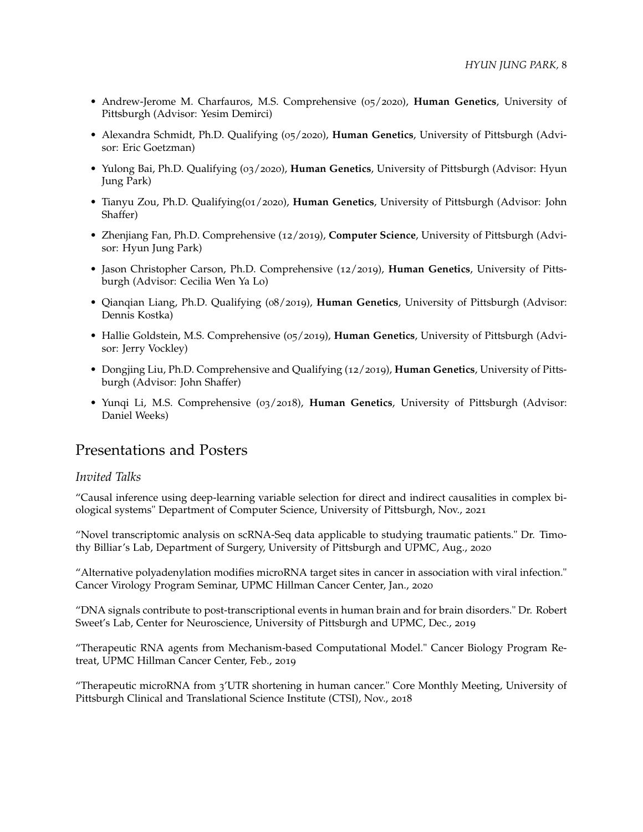- Andrew-Jerome M. Charfauros, M.S. Comprehensive (05/2020), **Human Genetics**, University of Pittsburgh (Advisor: Yesim Demirci)
- Alexandra Schmidt, Ph.D. Qualifying (05/2020), **Human Genetics**, University of Pittsburgh (Advisor: Eric Goetzman)
- Yulong Bai, Ph.D. Qualifying (03/2020), **Human Genetics**, University of Pittsburgh (Advisor: Hyun Jung Park)
- Tianyu Zou, Ph.D. Qualifying(01/2020), **Human Genetics**, University of Pittsburgh (Advisor: John Shaffer)
- Zhenjiang Fan, Ph.D. Comprehensive (12/2019), **Computer Science**, University of Pittsburgh (Advisor: Hyun Jung Park)
- Jason Christopher Carson, Ph.D. Comprehensive (12/2019), **Human Genetics**, University of Pittsburgh (Advisor: Cecilia Wen Ya Lo)
- Qianqian Liang, Ph.D. Qualifying (08/2019), **Human Genetics**, University of Pittsburgh (Advisor: Dennis Kostka)
- Hallie Goldstein, M.S. Comprehensive (05/2019), **Human Genetics**, University of Pittsburgh (Advisor: Jerry Vockley)
- Dongjing Liu, Ph.D. Comprehensive and Qualifying (12/2019), **Human Genetics**, University of Pittsburgh (Advisor: John Shaffer)
- Yunqi Li, M.S. Comprehensive (03/2018), **Human Genetics**, University of Pittsburgh (Advisor: Daniel Weeks)

### Presentations and Posters

#### *Invited Talks*

"Causal inference using deep-learning variable selection for direct and indirect causalities in complex biological systems" Department of Computer Science, University of Pittsburgh, Nov., 2021

"Novel transcriptomic analysis on scRNA-Seq data applicable to studying traumatic patients." Dr. Timothy Billiar's Lab, Department of Surgery, University of Pittsburgh and UPMC, Aug., 2020

"Alternative polyadenylation modifies microRNA target sites in cancer in association with viral infection." Cancer Virology Program Seminar, UPMC Hillman Cancer Center, Jan., 2020

"DNA signals contribute to post-transcriptional events in human brain and for brain disorders." Dr. Robert Sweet's Lab, Center for Neuroscience, University of Pittsburgh and UPMC, Dec., 2019

"Therapeutic RNA agents from Mechanism-based Computational Model." Cancer Biology Program Retreat, UPMC Hillman Cancer Center, Feb., 2019

"Therapeutic microRNA from 3'UTR shortening in human cancer." Core Monthly Meeting, University of Pittsburgh Clinical and Translational Science Institute (CTSI), Nov., 2018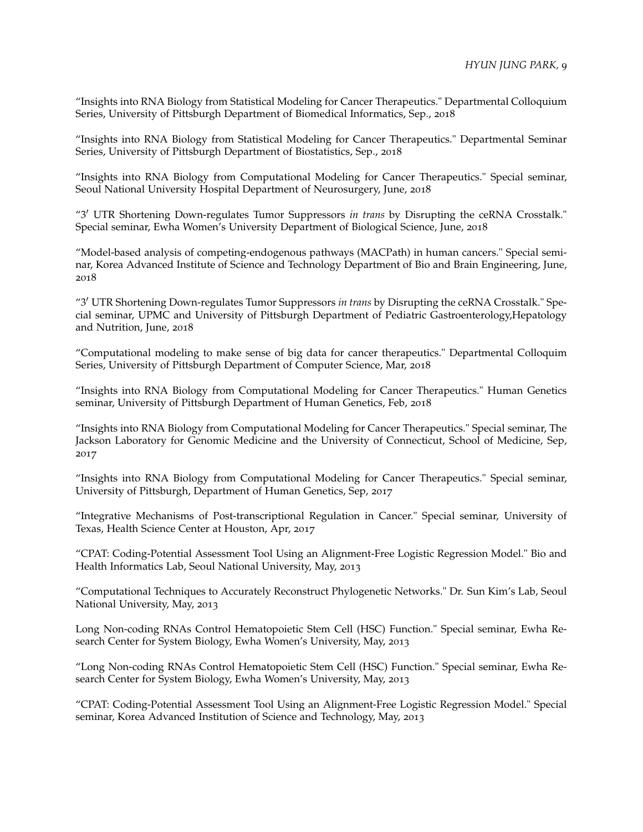"Insights into RNA Biology from Statistical Modeling for Cancer Therapeutics." Departmental Colloquium Series, University of Pittsburgh Department of Biomedical Informatics, Sep., 2018

"Insights into RNA Biology from Statistical Modeling for Cancer Therapeutics." Departmental Seminar Series, University of Pittsburgh Department of Biostatistics, Sep., 2018

"Insights into RNA Biology from Computational Modeling for Cancer Therapeutics." Special seminar, Seoul National University Hospital Department of Neurosurgery, June, 2018

"3′ UTR Shortening Down-regulates Tumor Suppressors *in trans* by Disrupting the ceRNA Crosstalk." Special seminar, Ewha Women's University Department of Biological Science, June, 2018

"Model-based analysis of competing-endogenous pathways (MACPath) in human cancers." Special seminar, Korea Advanced Institute of Science and Technology Department of Bio and Brain Engineering, June, 2018

"3′ UTR Shortening Down-regulates Tumor Suppressors *in trans* by Disrupting the ceRNA Crosstalk." Special seminar, UPMC and University of Pittsburgh Department of Pediatric Gastroenterology,Hepatology and Nutrition, June, 2018

"Computational modeling to make sense of big data for cancer therapeutics." Departmental Colloquim Series, University of Pittsburgh Department of Computer Science, Mar, 2018

"Insights into RNA Biology from Computational Modeling for Cancer Therapeutics." Human Genetics seminar, University of Pittsburgh Department of Human Genetics, Feb, 2018

"Insights into RNA Biology from Computational Modeling for Cancer Therapeutics." Special seminar, The Jackson Laboratory for Genomic Medicine and the University of Connecticut, School of Medicine, Sep, 2017

"Insights into RNA Biology from Computational Modeling for Cancer Therapeutics." Special seminar, University of Pittsburgh, Department of Human Genetics, Sep, 2017

"Integrative Mechanisms of Post-transcriptional Regulation in Cancer." Special seminar, University of Texas, Health Science Center at Houston, Apr, 2017

"CPAT: Coding-Potential Assessment Tool Using an Alignment-Free Logistic Regression Model." Bio and Health Informatics Lab, Seoul National University, May, 2013

"Computational Techniques to Accurately Reconstruct Phylogenetic Networks." Dr. Sun Kim's Lab, Seoul National University, May, 2013

Long Non-coding RNAs Control Hematopoietic Stem Cell (HSC) Function." Special seminar, Ewha Research Center for System Biology, Ewha Women's University, May, 2013

"Long Non-coding RNAs Control Hematopoietic Stem Cell (HSC) Function." Special seminar, Ewha Research Center for System Biology, Ewha Women's University, May, 2013

"CPAT: Coding-Potential Assessment Tool Using an Alignment-Free Logistic Regression Model." Special seminar, Korea Advanced Institution of Science and Technology, May, 2013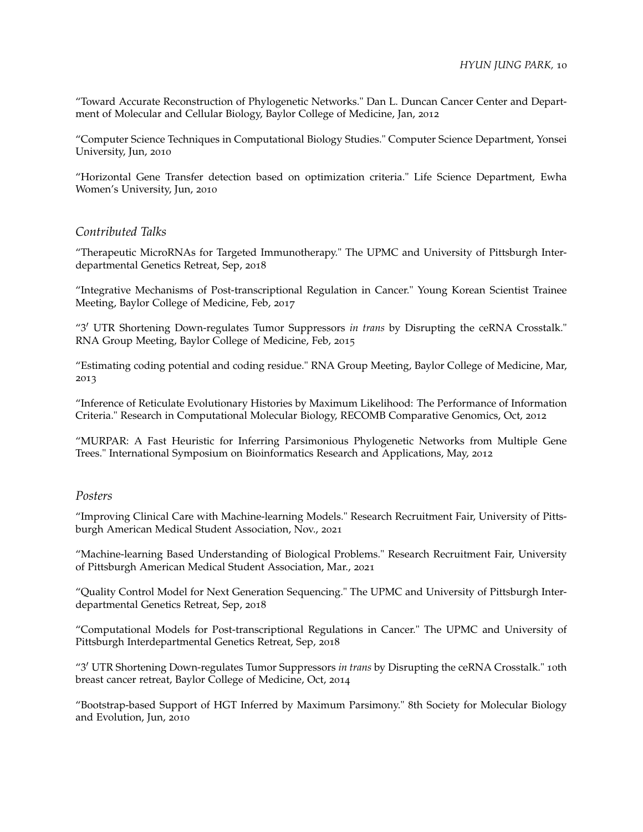"Toward Accurate Reconstruction of Phylogenetic Networks." Dan L. Duncan Cancer Center and Department of Molecular and Cellular Biology, Baylor College of Medicine, Jan, 2012

"Computer Science Techniques in Computational Biology Studies." Computer Science Department, Yonsei University, Jun, 2010

"Horizontal Gene Transfer detection based on optimization criteria." Life Science Department, Ewha Women's University, Jun, 2010

#### *Contributed Talks*

"Therapeutic MicroRNAs for Targeted Immunotherapy." The UPMC and University of Pittsburgh Interdepartmental Genetics Retreat, Sep, 2018

"Integrative Mechanisms of Post-transcriptional Regulation in Cancer." Young Korean Scientist Trainee Meeting, Baylor College of Medicine, Feb, 2017

"3′ UTR Shortening Down-regulates Tumor Suppressors *in trans* by Disrupting the ceRNA Crosstalk." RNA Group Meeting, Baylor College of Medicine, Feb, 2015

"Estimating coding potential and coding residue." RNA Group Meeting, Baylor College of Medicine, Mar, 2013

"Inference of Reticulate Evolutionary Histories by Maximum Likelihood: The Performance of Information Criteria." Research in Computational Molecular Biology, RECOMB Comparative Genomics, Oct, 2012

"MURPAR: A Fast Heuristic for Inferring Parsimonious Phylogenetic Networks from Multiple Gene Trees." International Symposium on Bioinformatics Research and Applications, May, 2012

#### *Posters*

"Improving Clinical Care with Machine-learning Models." Research Recruitment Fair, University of Pittsburgh American Medical Student Association, Nov., 2021

"Machine-learning Based Understanding of Biological Problems." Research Recruitment Fair, University of Pittsburgh American Medical Student Association, Mar., 2021

"Quality Control Model for Next Generation Sequencing." The UPMC and University of Pittsburgh Interdepartmental Genetics Retreat, Sep, 2018

"Computational Models for Post-transcriptional Regulations in Cancer." The UPMC and University of Pittsburgh Interdepartmental Genetics Retreat, Sep, 2018

"3′ UTR Shortening Down-regulates Tumor Suppressors *in trans* by Disrupting the ceRNA Crosstalk." 10th breast cancer retreat, Baylor College of Medicine, Oct, 2014

"Bootstrap-based Support of HGT Inferred by Maximum Parsimony." 8th Society for Molecular Biology and Evolution, Jun, 2010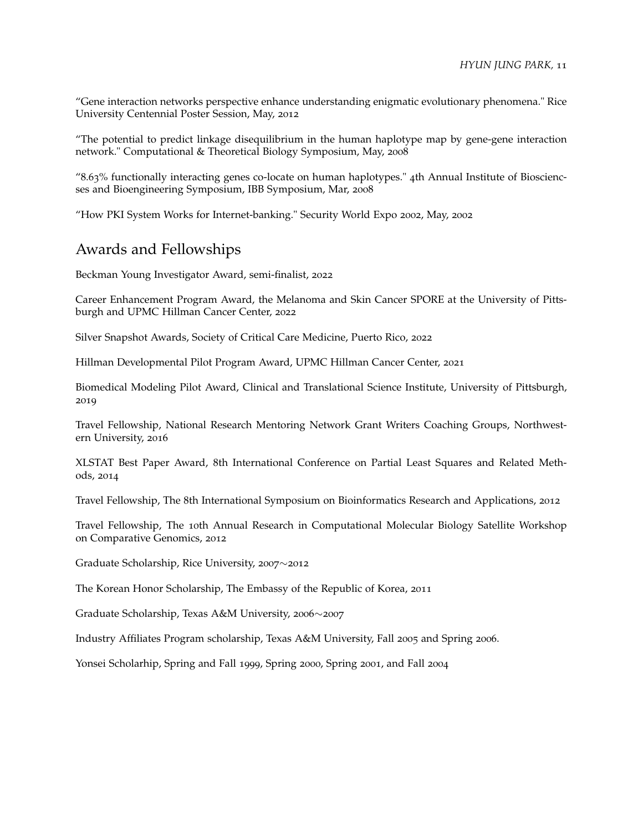"Gene interaction networks perspective enhance understanding enigmatic evolutionary phenomena." Rice University Centennial Poster Session, May, 2012

"The potential to predict linkage disequilibrium in the human haplotype map by gene-gene interaction network." Computational & Theoretical Biology Symposium, May, 2008

"8.63% functionally interacting genes co-locate on human haplotypes." 4th Annual Institute of Biosciencses and Bioengineering Symposium, IBB Symposium, Mar, 2008

"How PKI System Works for Internet-banking." Security World Expo 2002, May, 2002

## Awards and Fellowships

Beckman Young Investigator Award, semi-finalist, 2022

Career Enhancement Program Award, the Melanoma and Skin Cancer SPORE at the University of Pittsburgh and UPMC Hillman Cancer Center, 2022

Silver Snapshot Awards, Society of Critical Care Medicine, Puerto Rico, 2022

Hillman Developmental Pilot Program Award, UPMC Hillman Cancer Center, 2021

Biomedical Modeling Pilot Award, Clinical and Translational Science Institute, University of Pittsburgh, 2019

Travel Fellowship, National Research Mentoring Network Grant Writers Coaching Groups, Northwestern University, 2016

XLSTAT Best Paper Award, 8th International Conference on Partial Least Squares and Related Methods, 2014

Travel Fellowship, The 8th International Symposium on Bioinformatics Research and Applications, 2012

Travel Fellowship, The 10th Annual Research in Computational Molecular Biology Satellite Workshop on Comparative Genomics, 2012

Graduate Scholarship, Rice University, 2007∼2012

The Korean Honor Scholarship, The Embassy of the Republic of Korea, 2011

Graduate Scholarship, Texas A&M University, 2006∼2007

Industry Affiliates Program scholarship, Texas A&M University, Fall 2005 and Spring 2006.

Yonsei Scholarhip, Spring and Fall 1999, Spring 2000, Spring 2001, and Fall 2004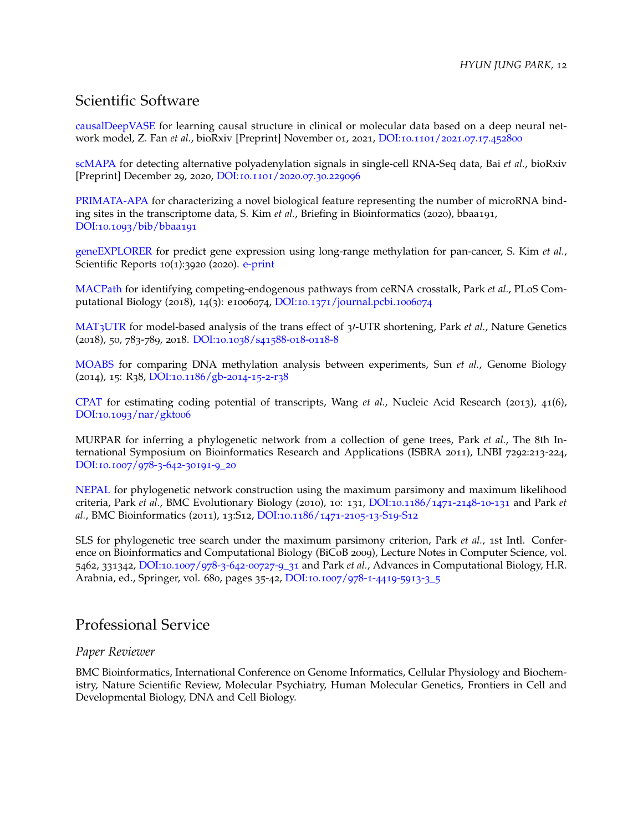## Scientific Software

[causalDeepVASE](https://github.com/ZhenjiangFan/causalDeepVASE) for learning causal structure in clinical or molecular data based on a deep neural network model, Z. Fan *et al.*, bioRxiv [Preprint] November 01, 2021, DOI:10.1101/2021.07.17.[452800](https://doi.org/10.1101/2021.07.17.452800)

[scMAPA](https://github.com/ybai3/scMAPA) for detecting alternative polyadenylation signals in single-cell RNA-Seq data, Bai *et al.*, bioRxiv [Preprint] December 29, 2020, DOI:10.1101/2020.07.30.[229096](https://doi.org/10.1101/2020.07.30.229096)

[PRIMATA-APA](https://github.com/thejustpark/PRIMATA-APA) for characterizing a novel biological feature representing the number of microRNA binding sites in the transcriptome data, S. Kim *et al.*, Briefing in Bioinformatics (2020), bbaa191, DOI:10.1093[/bib/bbaa](https://doi.org/10.1093/bib/bbaa191)191

[geneEXPLORER](https://github.com/SoyeonKimStat/geneEXPLORER) for predict gene expression using long-range methylation for pan-cancer, S. Kim *et al.*, Scientific Reports 10(1):3920 (2020). [e-print](https://www.nature.com/articles/s41598-020-60845-2)

[MACPath](https://github.com/thejustpark/MACPath) for identifying competing-endogenous pathways from ceRNA crosstalk, Park *et al.*, PLoS Computational Biology (2018), 14(3): e1006074, DOI:10.1371[/journal.pcbi.](https://doi.org/10.1371/journal.pcbi.1006074)1006074

[MAT](https://github.com/thejustpark/MAT3UTR)3UTR for model-based analysis of the trans effect of 3′-UTR shortening, Park *et al.*, Nature Genetics (2018), 50, 783-789, 2018. [DOI:](https://doi.org/10.1038/s41588-018-0118-8)10.1038/s41588-018-0118-8

[MOABS](https://code.google.com/p/moabs/) for comparing DNA methylation analysis between experiments, Sun *et al.*, Genome Biology (2014), 15: R38, [DOI:](http://dx.doi.org/10.1186/gb-2014-15-2-r38)10.1186/gb-2014-15-2-r38

[CPAT](https://code.google.com/p/cpat/) for estimating coding potential of transcripts, Wang *et al.*, Nucleic Acid Research (2013), 41(6), DOI:10.1093[/nar/gkt](http://dx.doi.org/10.1093/nar/gkt006)006

MURPAR for inferring a phylogenetic network from a collection of gene trees, Park *et al.*, The 8th International Symposium on Bioinformatics Research and Applications (ISBRA 2011), LNBI 7292:213-224, [DOI:](http://dx.doi.org/10.1007/978-3-642-30191-9_20)10.1007/978-3-642-30191-9\_20

[NEPAL](http://old-bioinfo.cs.rice.edu/nepal/) for phylogenetic network construction using the maximum parsimony and maximum likelihood criteria, Park *et al.*, BMC Evolutionary Biology (2010), 10: 131, [DOI:](http://dx.doi.org/10.1186/1471-2148-10-131)10.1186/1471-2148-10-131 and Park *et al.*, BMC Bioinformatics (2011), 13:S12, [DOI:](https://doi.org/10.1186/1471-2105-13-S19-S12)10.1186/1471-2105-13-S19-S12

SLS for phylogenetic tree search under the maximum parsimony criterion, Park *et al.*, 1st Intl. Conference on Bioinformatics and Computational Biology (BiCoB 2009), Lecture Notes in Computer Science, vol. 5462, 331342, DOI:10.1007/978-3-642-[00727](http://dx.doi.org/10.1007/978-3-642-00727-9_31)-9\_31 and Park *et al.*, Advances in Computational Biology, H.R. Arabnia, ed., Springer, vol. 680, pages 35-42, [DOI:](http://dx.doi.org/10.1007/978-1-4419-5913-3_5)10.1007/978-1-4419-5913-3\_5

## Professional Service

#### *Paper Reviewer*

BMC Bioinformatics, International Conference on Genome Informatics, Cellular Physiology and Biochemistry, Nature Scientific Review, Molecular Psychiatry, Human Molecular Genetics, Frontiers in Cell and Developmental Biology, DNA and Cell Biology.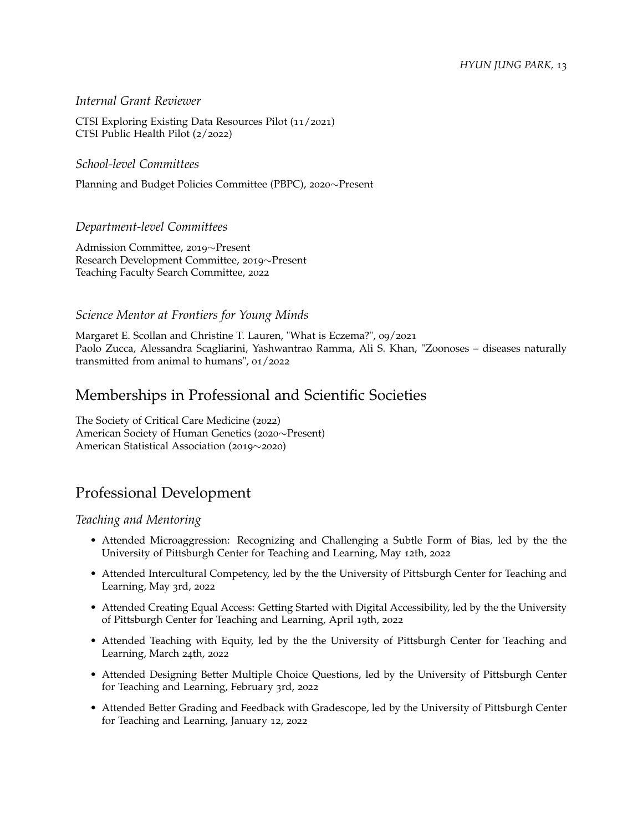#### *HYUN JUNG PARK,* 13

#### *Internal Grant Reviewer*

CTSI Exploring Existing Data Resources Pilot (11/2021) CTSI Public Health Pilot (2/2022)

*School-level Committees*

Planning and Budget Policies Committee (PBPC), 2020∼Present

#### *Department-level Committees*

Admission Committee, 2019∼Present Research Development Committee, 2019∼Present Teaching Faculty Search Committee, 2022

#### *Science Mentor at Frontiers for Young Minds*

Margaret E. Scollan and Christine T. Lauren, "What is Eczema?", 09/2021 Paolo Zucca, Alessandra Scagliarini, Yashwantrao Ramma, Ali S. Khan, "Zoonoses – diseases naturally transmitted from animal to humans", 01/2022

## Memberships in Professional and Scientific Societies

The Society of Critical Care Medicine (2022) American Society of Human Genetics (2020∼Present) American Statistical Association (2019∼2020)

## Professional Development

#### *Teaching and Mentoring*

- Attended Microaggression: Recognizing and Challenging a Subtle Form of Bias, led by the the University of Pittsburgh Center for Teaching and Learning, May 12th, 2022
- Attended Intercultural Competency, led by the the University of Pittsburgh Center for Teaching and Learning, May 3rd, 2022
- Attended Creating Equal Access: Getting Started with Digital Accessibility, led by the the University of Pittsburgh Center for Teaching and Learning, April 19th, 2022
- Attended Teaching with Equity, led by the the University of Pittsburgh Center for Teaching and Learning, March 24th, 2022
- Attended Designing Better Multiple Choice Questions, led by the University of Pittsburgh Center for Teaching and Learning, February 3rd, 2022
- Attended Better Grading and Feedback with Gradescope, led by the University of Pittsburgh Center for Teaching and Learning, January 12, 2022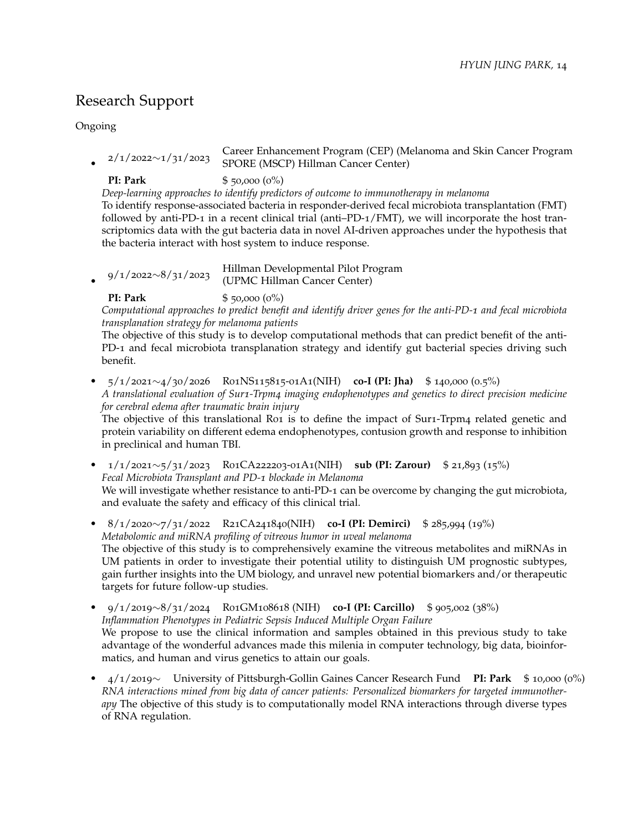## Research Support

Ongoing

• 2/1/2022∼1/31/2023 Career Enhancement Program (CEP) (Melanoma and Skin Cancer Program SPORE (MSCP) Hillman Cancer Center)

**PI: Park** \$ 50,000 (0%)

*Deep-learning approaches to identify predictors of outcome to immunotherapy in melanoma* To identify response-associated bacteria in responder-derived fecal microbiota transplantation (FMT) followed by anti-PD-1 in a recent clinical trial (anti–PD-1/FMT), we will incorporate the host transcriptomics data with the gut bacteria data in novel AI-driven approaches under the hypothesis that the bacteria interact with host system to induce response.

• 9/1/2022∼8/31/2023 Hillman Developmental Pilot Program (UPMC Hillman Cancer Center)

**PI: Park**  $$ 50,000 (0%)$ 

*Computational approaches to predict benefit and identify driver genes for the anti-PD-1 and fecal microbiota transplanation strategy for melanoma patients*

The objective of this study is to develop computational methods that can predict benefit of the anti-PD-1 and fecal microbiota transplanation strategy and identify gut bacterial species driving such benefit.

• 5/1/2021∼4/30/2026 R01NS115815-01A1(NIH) **co-I (PI: Jha)** \$ 140,000 (0.5%) *A translational evaluation of Sur1-Trpm4 imaging endophenotypes and genetics to direct precision medicine for cerebral edema after traumatic brain injury*

The objective of this translational R01 is to define the impact of Sur1-Trpm4 related genetic and protein variability on different edema endophenotypes, contusion growth and response to inhibition in preclinical and human TBI.

- 1/1/2021∼5/31/2023 R01CA222203-01A1(NIH) **sub (PI: Zarour)** \$ 21,893 (15%) *Fecal Microbiota Transplant and PD-1 blockade in Melanoma* We will investigate whether resistance to anti-PD-1 can be overcome by changing the gut microbiota, and evaluate the safety and efficacy of this clinical trial.
- 8/1/2020∼7/31/2022 R21CA241840(NIH) **co-I (PI: Demirci)** \$ 285,994 (19%) *Metabolomic and miRNA profiling of vitreous humor in uveal melanoma* The objective of this study is to comprehensively examine the vitreous metabolites and miRNAs in UM patients in order to investigate their potential utility to distinguish UM prognostic subtypes, gain further insights into the UM biology, and unravel new potential biomarkers and/or therapeutic targets for future follow-up studies.
- 9/1/2019∼8/31/2024 R01GM108618 (NIH) **co-I (PI: Carcillo)** \$ 905,002 (38%) *Inflammation Phenotypes in Pediatric Sepsis Induced Multiple Organ Failure* We propose to use the clinical information and samples obtained in this previous study to take advantage of the wonderful advances made this milenia in computer technology, big data, bioinformatics, and human and virus genetics to attain our goals.
- 4/1/2019∼ University of Pittsburgh-Gollin Gaines Cancer Research Fund **PI: Park** \$ 10,000 (0%) *RNA interactions mined from big data of cancer patients: Personalized biomarkers for targeted immunotherapy* The objective of this study is to computationally model RNA interactions through diverse types of RNA regulation.